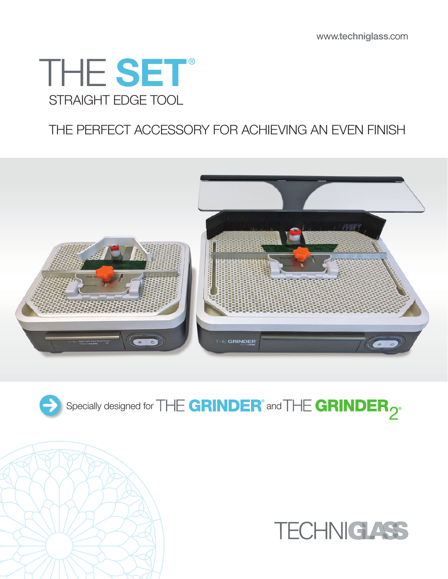# STRAIGHT EDGE TOOL THE SET®

## THE PERFECT ACCESSORY FOR ACHIEVING AN EVEN FINISH



Specially designed for  $\Box$   $\Box$   $\Box$   $\Box$   $\Box$   $\Box$   $\Box$  and